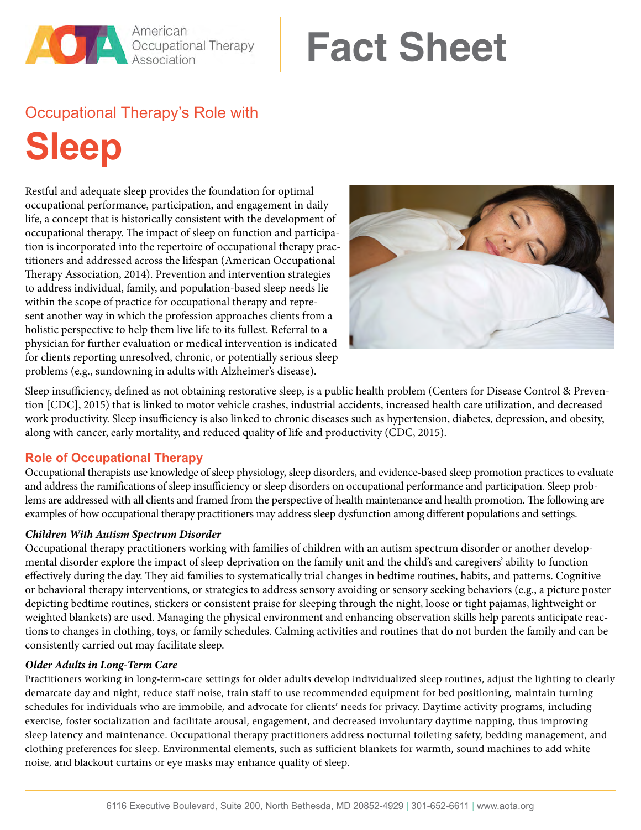### American **Designational Therapy**

# **Fact Sheet**

## Occupational Therapy's Role with

**Sleep**

Restful and adequate sleep provides the foundation for optimal occupational performance, participation, and engagement in daily life, a concept that is historically consistent with the development of occupational therapy. The impact of sleep on function and participation is incorporated into the repertoire of occupational therapy practitioners and addressed across the lifespan (American Occupational Therapy Association, 2014). Prevention and intervention strategies to address individual, family, and population-based sleep needs lie within the scope of practice for occupational therapy and represent another way in which the profession approaches clients from a holistic perspective to help them live life to its fullest. Referral to a physician for further evaluation or medical intervention is indicated for clients reporting unresolved, chronic, or potentially serious sleep problems (e.g., sundowning in adults with Alzheimer's disease).



Sleep insufficiency, defined as not obtaining restorative sleep, is a public health problem (Centers for Disease Control & Prevention [CDC], 2015) that is linked to motor vehicle crashes, industrial accidents, increased health care utilization, and decreased work productivity. Sleep insufficiency is also linked to chronic diseases such as hypertension, diabetes, depression, and obesity, along with cancer, early mortality, and reduced quality of life and productivity (CDC, 2015).

#### **Role of Occupational Therapy**

Occupational therapists use knowledge of sleep physiology, sleep disorders, and evidence-based sleep promotion practices to evaluate and address the ramifications of sleep insufficiency or sleep disorders on occupational performance and participation. Sleep problems are addressed with all clients and framed from the perspective of health maintenance and health promotion. The following are examples of how occupational therapy practitioners may address sleep dysfunction among different populations and settings.

#### *Children With Autism Spectrum Disorder*

Occupational therapy practitioners working with families of children with an autism spectrum disorder or another developmental disorder explore the impact of sleep deprivation on the family unit and the child's and caregivers' ability to function effectively during the day. They aid families to systematically trial changes in bedtime routines, habits, and patterns. Cognitive or behavioral therapy interventions, or strategies to address sensory avoiding or sensory seeking behaviors (e.g., a picture poster depicting bedtime routines, stickers or consistent praise for sleeping through the night, loose or tight pajamas, lightweight or weighted blankets) are used. Managing the physical environment and enhancing observation skills help parents anticipate reactions to changes in clothing, toys, or family schedules. Calming activities and routines that do not burden the family and can be consistently carried out may facilitate sleep.

#### *Older Adults in Long-Term Care*

Practitioners working in long-term-care settings for older adults develop individualized sleep routines, adjust the lighting to clearly demarcate day and night, reduce staff noise, train staff to use recommended equipment for bed positioning, maintain turning schedules for individuals who are immobile, and advocate for clients' needs for privacy. Daytime activity programs, including exercise, foster socialization and facilitate arousal, engagement, and decreased involuntary daytime napping, thus improving sleep latency and maintenance. Occupational therapy practitioners address nocturnal toileting safety, bedding management, and clothing preferences for sleep. Environmental elements, such as sufficient blankets for warmth, sound machines to add white noise, and blackout curtains or eye masks may enhance quality of sleep.